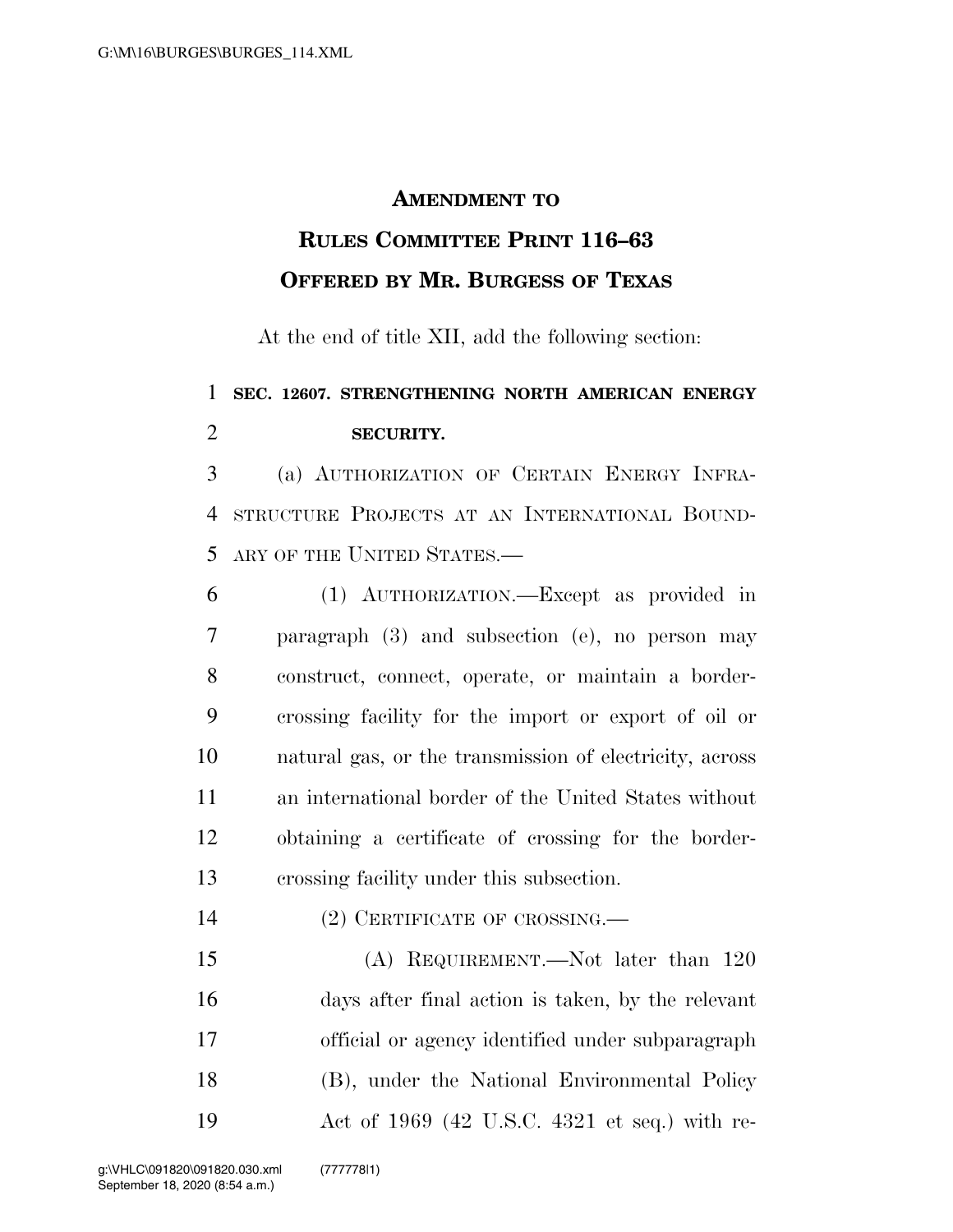## **AMENDMENT TO**

## **RULES COMMITTEE PRINT 116–63 OFFERED BY MR. BURGESS OF TEXAS**

At the end of title XII, add the following section:

## **SEC. 12607. STRENGTHENING NORTH AMERICAN ENERGY SECURITY.**

 (a) AUTHORIZATION OF CERTAIN ENERGY INFRA- STRUCTURE PROJECTS AT AN INTERNATIONAL BOUND-ARY OF THE UNITED STATES.—

 (1) AUTHORIZATION.—Except as provided in paragraph (3) and subsection (e), no person may construct, connect, operate, or maintain a border- crossing facility for the import or export of oil or natural gas, or the transmission of electricity, across an international border of the United States without obtaining a certificate of crossing for the border-crossing facility under this subsection.

(2) CERTIFICATE OF CROSSING.—

 (A) REQUIREMENT.—Not later than 120 days after final action is taken, by the relevant official or agency identified under subparagraph (B), under the National Environmental Policy Act of 1969 (42 U.S.C. 4321 et seq.) with re-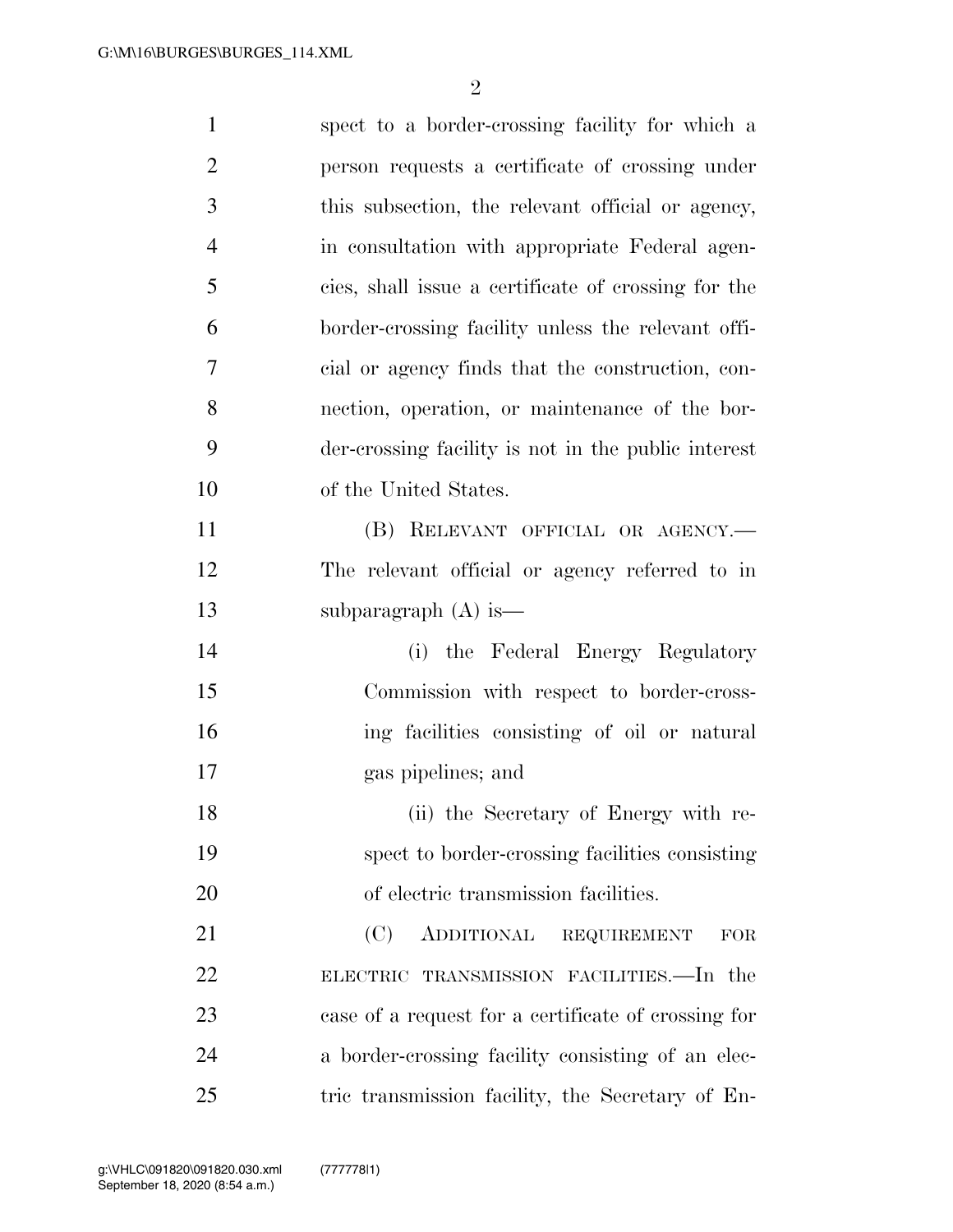| $\mathbf{1}$   | spect to a border-crossing facility for which a     |
|----------------|-----------------------------------------------------|
| $\overline{2}$ | person requests a certificate of crossing under     |
| 3              | this subsection, the relevant official or agency,   |
| $\overline{4}$ | in consultation with appropriate Federal agen-      |
| 5              | cies, shall issue a certificate of crossing for the |
| 6              | border-crossing facility unless the relevant offi-  |
| 7              | cial or agency finds that the construction, con-    |
| 8              | nection, operation, or maintenance of the bor-      |
| 9              | der-crossing facility is not in the public interest |
| 10             | of the United States.                               |
| 11             | (B) RELEVANT OFFICIAL OR AGENCY.—                   |
| 12             | The relevant official or agency referred to in      |
| 13             | subparagraph $(A)$ is —                             |
| 14             | (i) the Federal Energy Regulatory                   |
| 15             | Commission with respect to border-cross-            |
| 16             | ing facilities consisting of oil or natural         |
| 17             | gas pipelines; and                                  |
| 18             | (ii) the Secretary of Energy with re-               |
| 19             | spect to border-crossing facilities consisting      |
| 20             | of electric transmission facilities.                |
| 21             | (C)<br>ADDITIONAL REQUIREMENT<br>FOR                |
| 22             | ELECTRIC TRANSMISSION FACILITIES.-In the            |
| 23             | case of a request for a certificate of crossing for |
| 24             | a border-crossing facility consisting of an elec-   |
| 25             | tric transmission facility, the Secretary of En-    |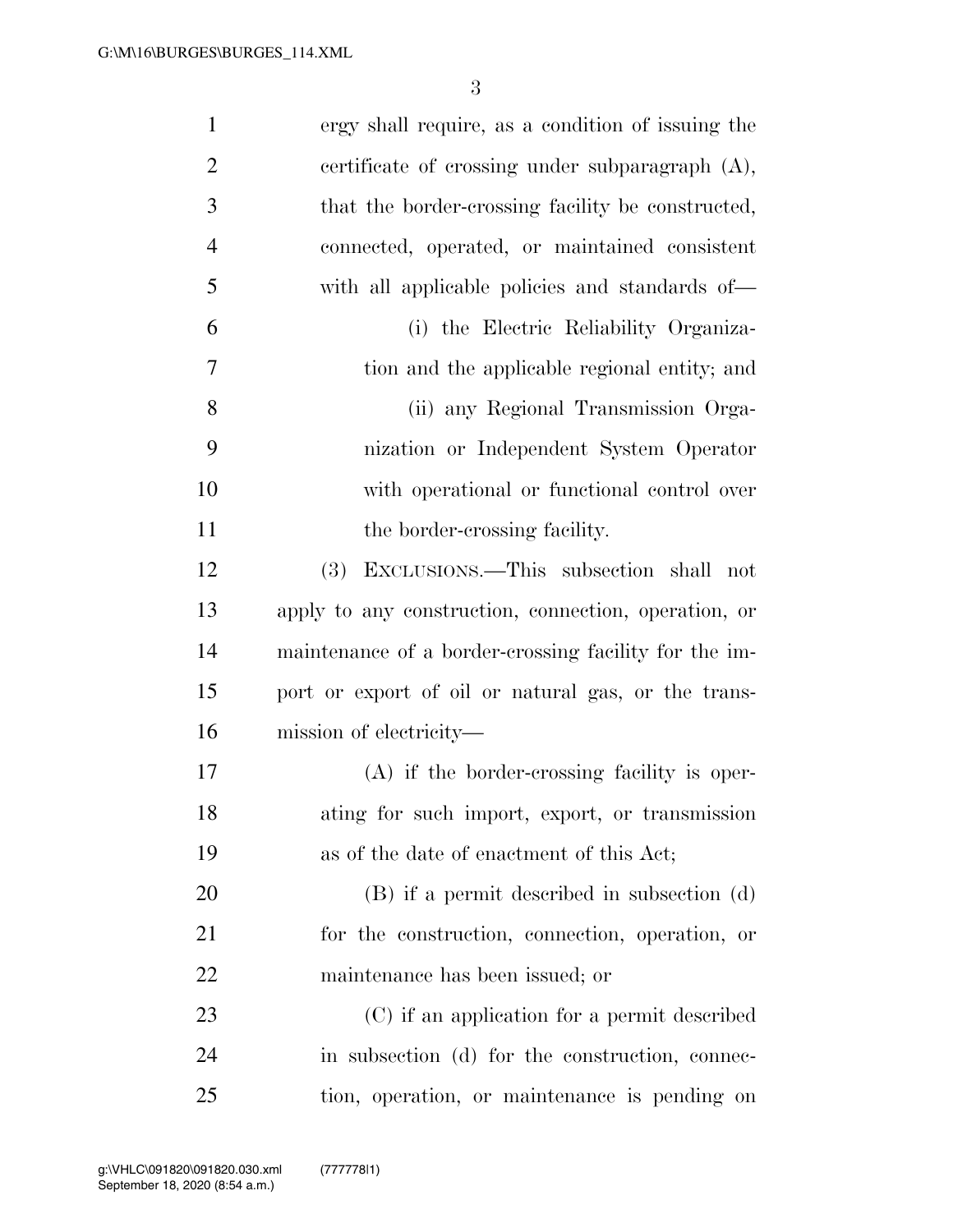| $\mathbf{1}$   | ergy shall require, as a condition of issuing the     |
|----------------|-------------------------------------------------------|
| $\overline{2}$ | certificate of crossing under subparagraph $(A)$ ,    |
| 3              | that the border-crossing facility be constructed,     |
| $\overline{4}$ | connected, operated, or maintained consistent         |
| 5              | with all applicable policies and standards of—        |
| 6              | (i) the Electric Reliability Organiza-                |
| 7              | tion and the applicable regional entity; and          |
| 8              | (ii) any Regional Transmission Orga-                  |
| 9              | nization or Independent System Operator               |
| 10             | with operational or functional control over           |
| 11             | the border-crossing facility.                         |
| 12             | EXCLUSIONS.—This subsection shall not<br><b>(3)</b>   |
| 13             | apply to any construction, connection, operation, or  |
| 14             | maintenance of a border-crossing facility for the im- |
| 15             | port or export of oil or natural gas, or the trans-   |
| 16             | mission of electricity—                               |
| 17             | $(A)$ if the border-crossing facility is oper-        |
| 18             | ating for such import, export, or transmission        |
| 19             | as of the date of enactment of this Act;              |
| 20             | (B) if a permit described in subsection (d)           |
| 21             | for the construction, connection, operation, or       |
| 22             | maintenance has been issued; or                       |
| 23             | (C) if an application for a permit described          |
| 24             | in subsection (d) for the construction, connec-       |
| 25             | tion, operation, or maintenance is pending on         |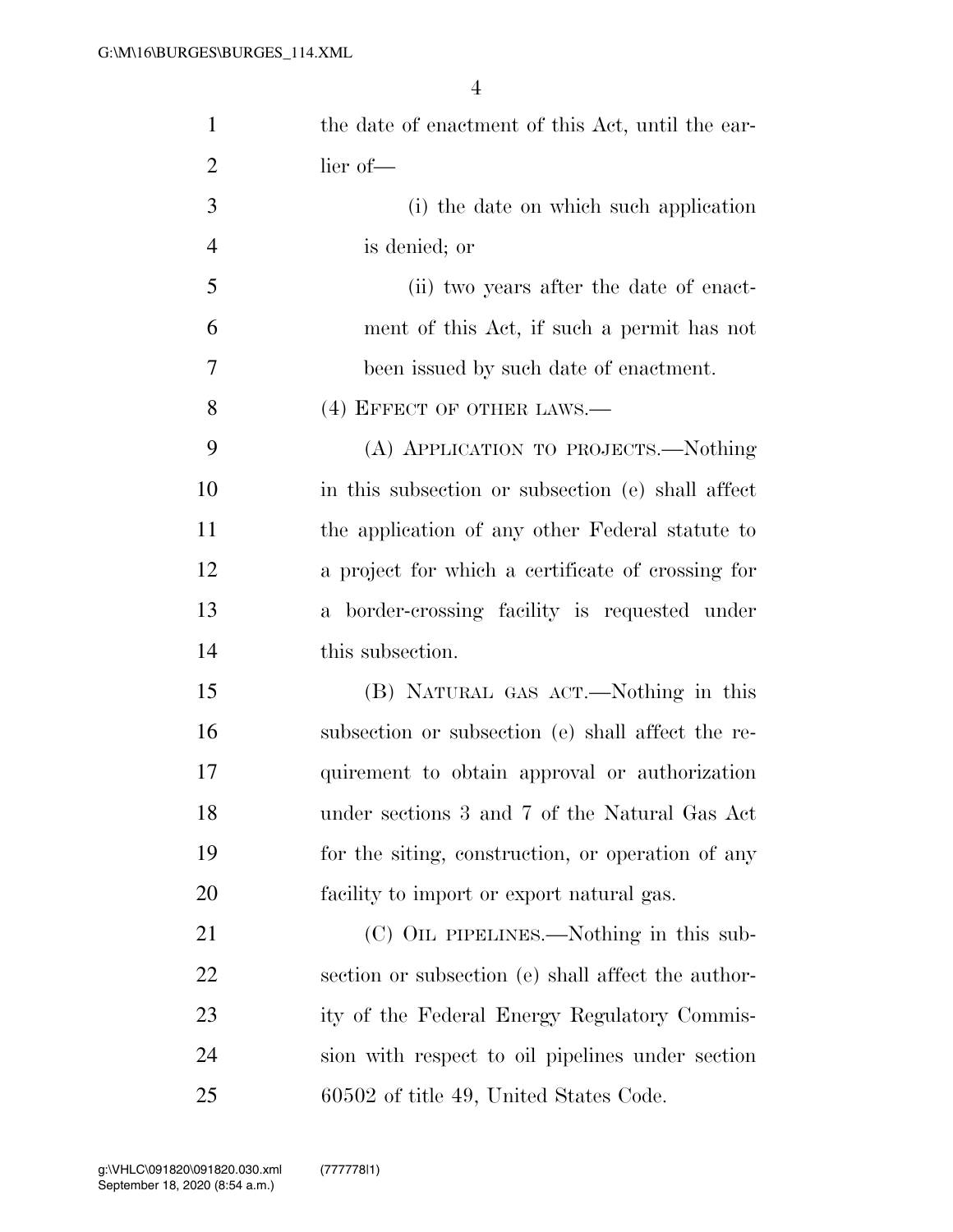| $\mathbf{1}$   | the date of enactment of this Act, until the ear-  |
|----------------|----------------------------------------------------|
| $\overline{2}$ | lier of-                                           |
| 3              | (i) the date on which such application             |
| $\overline{4}$ | is denied; or                                      |
| 5              | (ii) two years after the date of enact-            |
| 6              | ment of this Act, if such a permit has not         |
| 7              | been issued by such date of enactment.             |
| 8              | (4) EFFECT OF OTHER LAWS.—                         |
| 9              | (A) APPLICATION TO PROJECTS.—Nothing               |
| 10             | in this subsection or subsection (e) shall affect  |
| 11             | the application of any other Federal statute to    |
| 12             | a project for which a certificate of crossing for  |
| 13             | a border-crossing facility is requested under      |
| 14             | this subsection.                                   |
| 15             | (B) NATURAL GAS ACT.—Nothing in this               |
| 16             | subsection or subsection (e) shall affect the re-  |
| 17             | quirement to obtain approval or authorization      |
| 18             | under sections 3 and 7 of the Natural Gas Act      |
| 19             | for the siting, construction, or operation of any  |
| 20             | facility to import or export natural gas.          |
| 21             | (C) OIL PIPELINES.—Nothing in this sub-            |
| 22             | section or subsection (e) shall affect the author- |
| 23             | ity of the Federal Energy Regulatory Commis-       |
| 24             | sion with respect to oil pipelines under section   |
| 25             | 60502 of title 49, United States Code.             |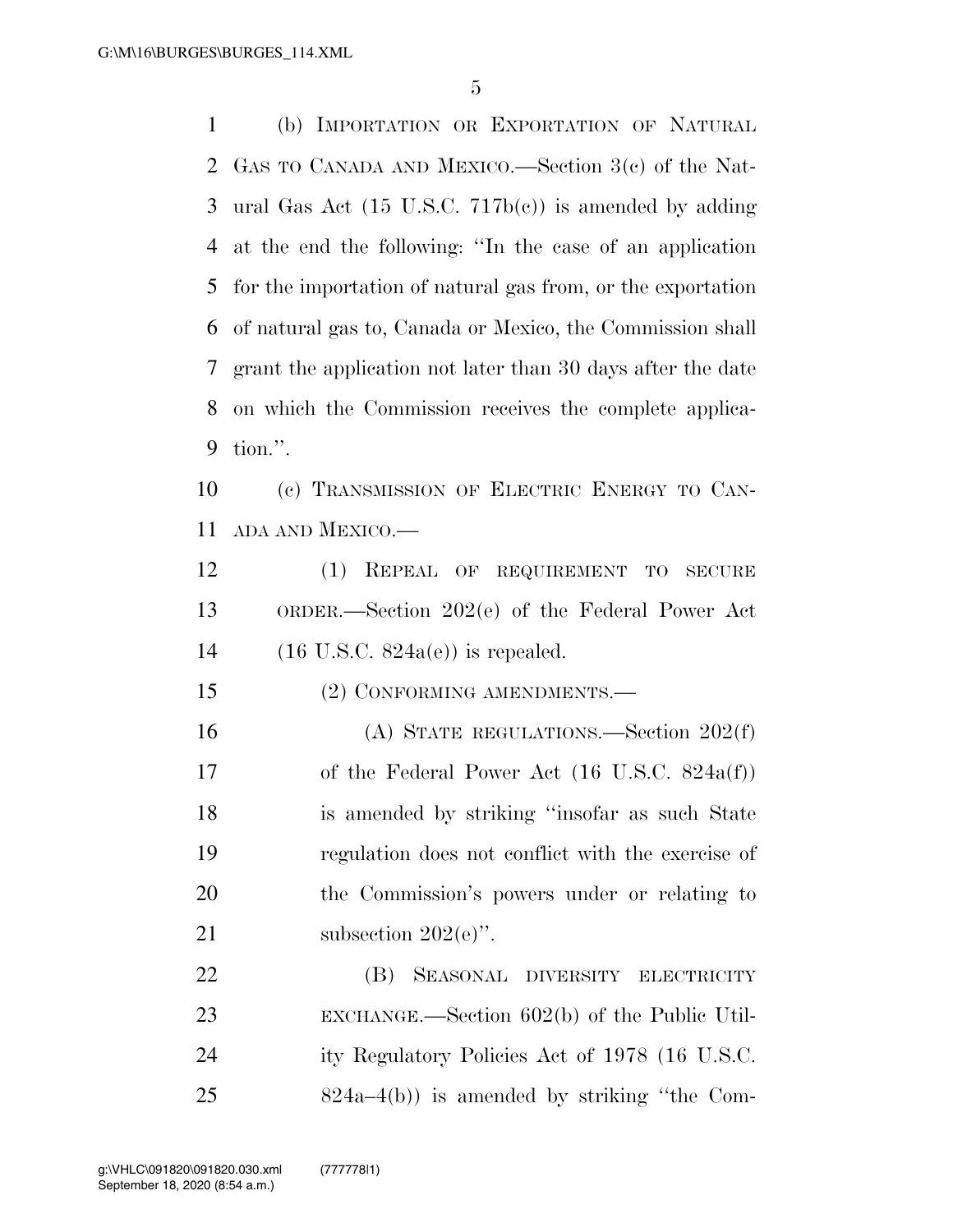(b) IMPORTATION OR EXPORTATION OF NATURAL GAS TO CANADA AND MEXICO.—Section 3(c) of the Nat- ural Gas Act (15 U.S.C. 717b(c)) is amended by adding at the end the following: ''In the case of an application for the importation of natural gas from, or the exportation of natural gas to, Canada or Mexico, the Commission shall grant the application not later than 30 days after the date on which the Commission receives the complete applica-tion.''.

 (c) TRANSMISSION OF ELECTRIC ENERGY TO CAN-ADA AND MEXICO.—

 (1) REPEAL OF REQUIREMENT TO SECURE ORDER.—Section 202(e) of the Federal Power Act (16 U.S.C. 824a(e)) is repealed.

15 (2) CONFORMING AMENDMENTS.—

 (A) STATE REGULATIONS.—Section 202(f) of the Federal Power Act (16 U.S.C. 824a(f)) is amended by striking ''insofar as such State regulation does not conflict with the exercise of the Commission's powers under or relating to 21 subsection  $202(e)$ .

 (B) SEASONAL DIVERSITY ELECTRICITY EXCHANGE.—Section 602(b) of the Public Util- ity Regulatory Policies Act of 1978 (16 U.S.C. 824a–4(b)) is amended by striking ''the Com-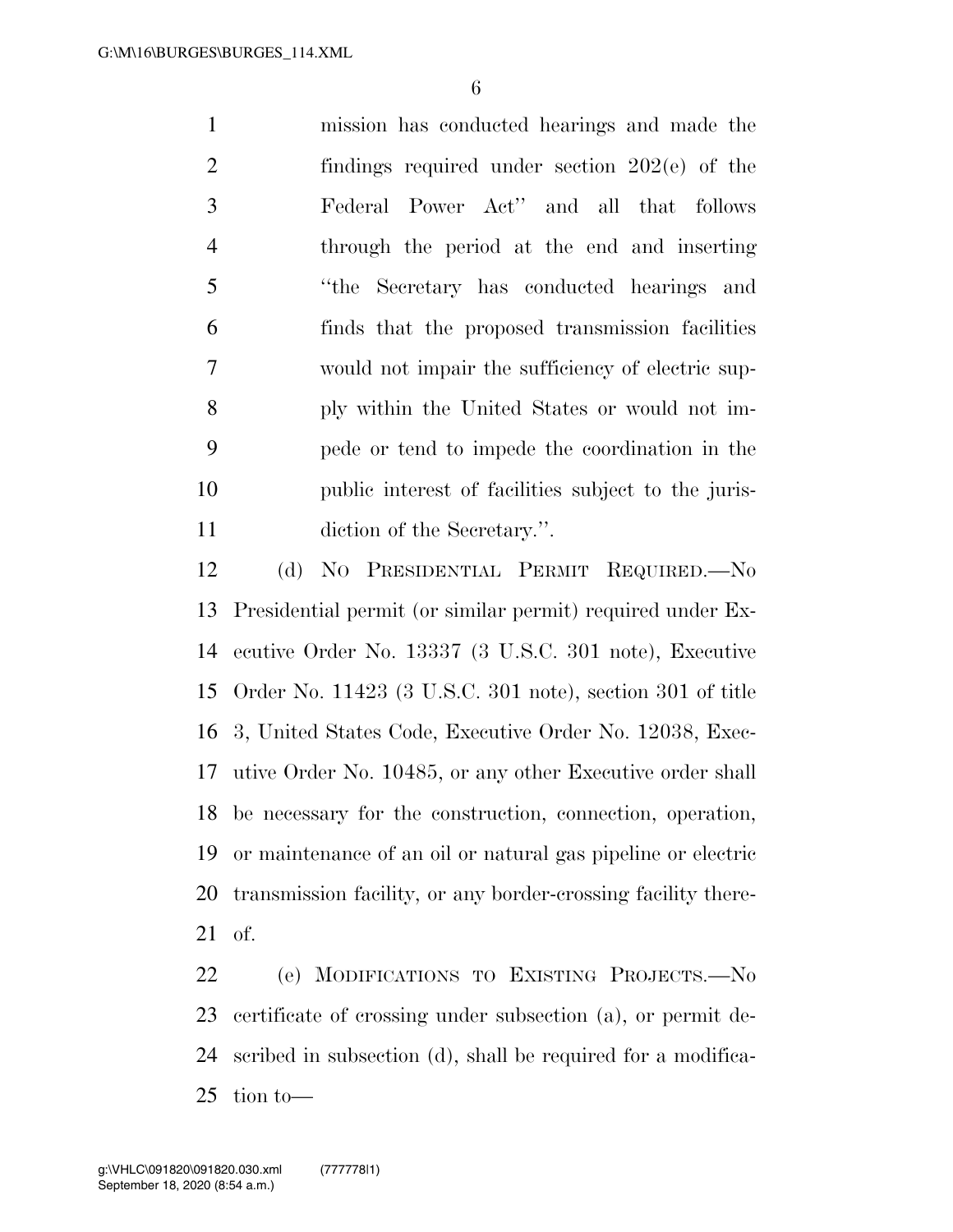mission has conducted hearings and made the findings required under section 202(e) of the Federal Power Act'' and all that follows through the period at the end and inserting ''the Secretary has conducted hearings and finds that the proposed transmission facilities would not impair the sufficiency of electric sup- ply within the United States or would not im- pede or tend to impede the coordination in the public interest of facilities subject to the juris-diction of the Secretary.''.

 (d) NO PRESIDENTIAL PERMIT REQUIRED.—No Presidential permit (or similar permit) required under Ex- ecutive Order No. 13337 (3 U.S.C. 301 note), Executive Order No. 11423 (3 U.S.C. 301 note), section 301 of title 3, United States Code, Executive Order No. 12038, Exec- utive Order No. 10485, or any other Executive order shall be necessary for the construction, connection, operation, or maintenance of an oil or natural gas pipeline or electric transmission facility, or any border-crossing facility there-of.

 (e) MODIFICATIONS TO EXISTING PROJECTS.—No certificate of crossing under subsection (a), or permit de- scribed in subsection (d), shall be required for a modifica-tion to—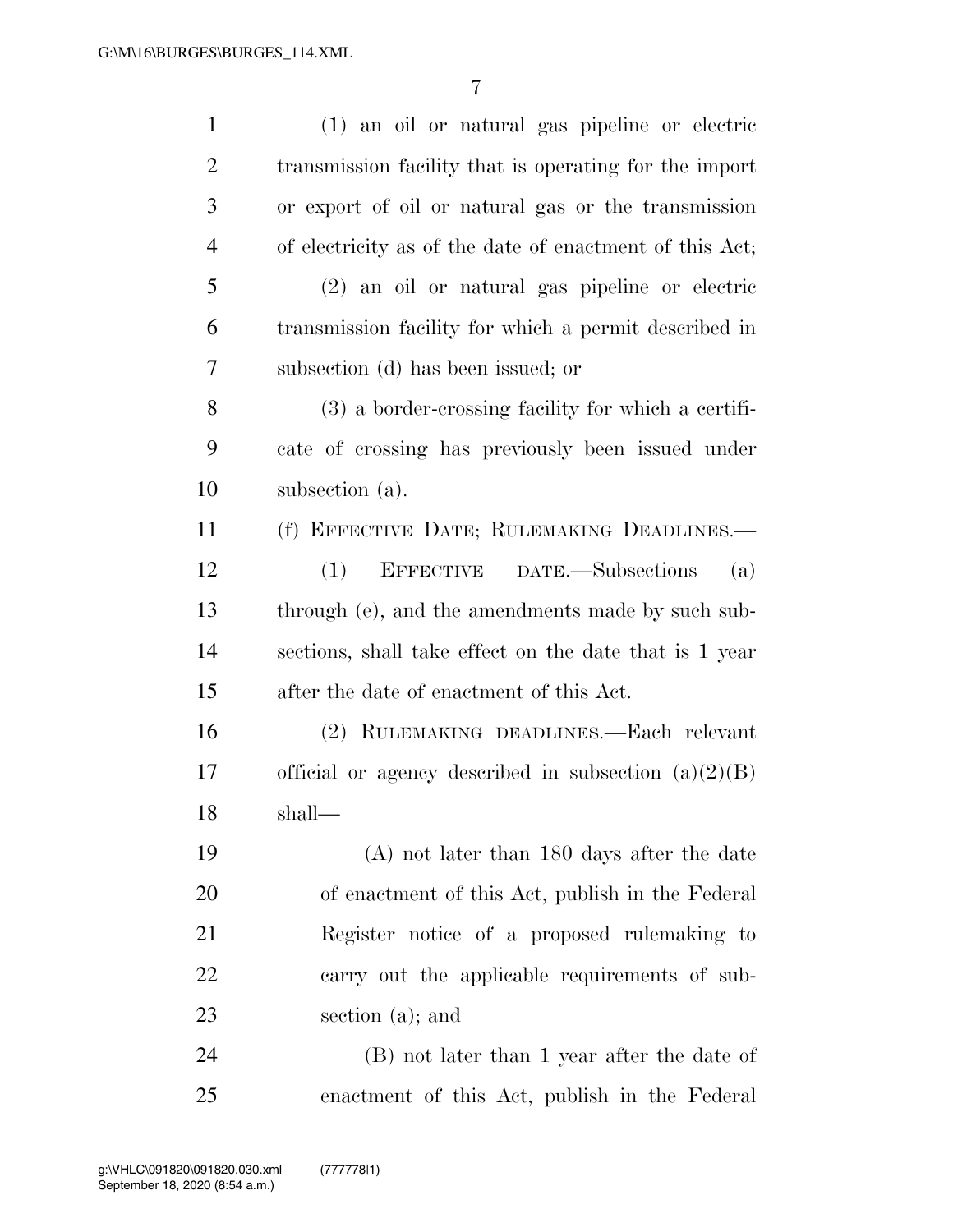| $\mathbf{1}$   | (1) an oil or natural gas pipeline or electric          |
|----------------|---------------------------------------------------------|
| $\overline{2}$ | transmission facility that is operating for the import  |
| 3              | or export of oil or natural gas or the transmission     |
| $\overline{4}$ | of electricity as of the date of enactment of this Act; |
| 5              | (2) an oil or natural gas pipeline or electric          |
| 6              | transmission facility for which a permit described in   |
| 7              | subsection (d) has been issued; or                      |
| 8              | $(3)$ a border-crossing facility for which a certifi-   |
| 9              | cate of crossing has previously been issued under       |
| 10             | subsection (a).                                         |
| 11             | (f) EFFECTIVE DATE; RULEMAKING DEADLINES.-              |
| 12             | (1)<br>EFFECTIVE DATE.—Subsections<br>(a)               |
| 13             | through (e), and the amendments made by such sub-       |
| 14             | sections, shall take effect on the date that is 1 year  |
| 15             | after the date of enactment of this Act.                |
| 16             | (2) RULEMAKING DEADLINES.—Each relevant                 |
| 17             | official or agency described in subsection $(a)(2)(B)$  |
| 18             | shall—                                                  |
| 19             | $(A)$ not later than 180 days after the date            |
| 20             | of enactment of this Act, publish in the Federal        |
| 21             | Register notice of a proposed rulemaking to             |
| 22             | carry out the applicable requirements of sub-           |
| 23             | section (a); and                                        |
| 24             | (B) not later than 1 year after the date of             |
| 25             | enactment of this Act, publish in the Federal           |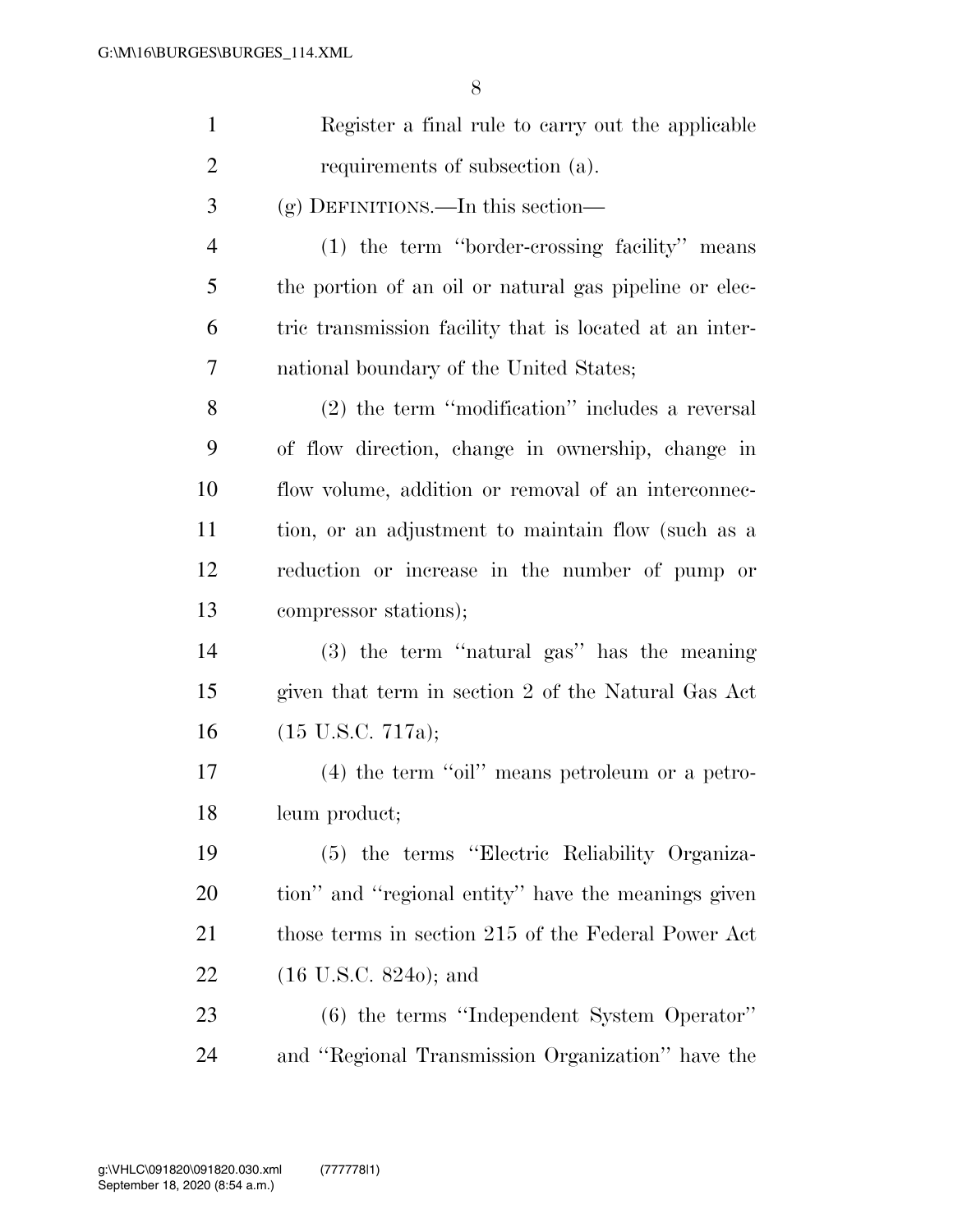| $\mathbf{1}$   | Register a final rule to carry out the applicable       |
|----------------|---------------------------------------------------------|
| $\overline{c}$ | requirements of subsection (a).                         |
| 3              | $(g)$ DEFINITIONS.—In this section—                     |
| $\overline{4}$ | (1) the term "border-crossing facility" means           |
| 5              | the portion of an oil or natural gas pipeline or elec-  |
| 6              | tric transmission facility that is located at an inter- |
| 7              | national boundary of the United States;                 |
| 8              | (2) the term "modification" includes a reversal         |
| 9              | of flow direction, change in ownership, change in       |
| 10             | flow volume, addition or removal of an interconnec-     |
| 11             | tion, or an adjustment to maintain flow (such as a      |
| 12             | reduction or increase in the number of pump or          |
| 13             | compressor stations);                                   |
| 14             | (3) the term "natural gas" has the meaning              |
| 15             | given that term in section 2 of the Natural Gas Act     |
| 16             | $(15 \text{ U.S.C. } 717a);$                            |
| 17             | $(4)$ the term "oil" means petroleum or a petro-        |
| 18             | leum product;                                           |
| 19             | (5) the terms "Electric Reliability Organiza-           |
| 20             | tion" and "regional entity" have the meanings given     |
| 21             | those terms in section 215 of the Federal Power Act     |
| 22             | $(16 \text{ U.S.C. } 8240)$ ; and                       |
| 23             | (6) the terms "Independent System Operator"             |
| 24             | and "Regional Transmission Organization" have the       |